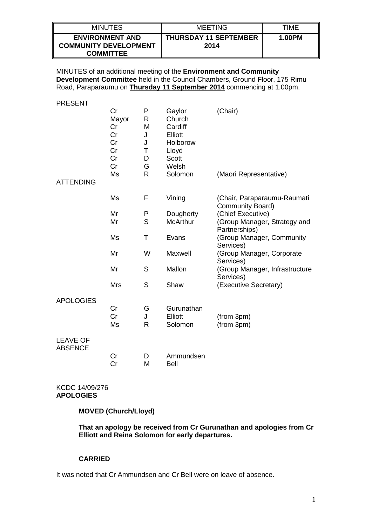| <b>MINUTES</b>                                                             | <b>MEETING</b>                       | TIME   |
|----------------------------------------------------------------------------|--------------------------------------|--------|
| <b>ENVIRONMENT AND</b><br><b>COMMUNITY DEVELOPMENT</b><br><b>COMMITTEE</b> | <b>THURSDAY 11 SEPTEMBER</b><br>2014 | 1.00PM |

MINUTES of an additional meeting of the **Environment and Community Development Committee** held in the Council Chambers, Ground Floor, 175 Rimu Road, Paraparaumu on **Thursday 11 September 2014** commencing at 1.00pm.

PRESENT

|                                   | Cr<br>Mayor<br>Cr<br>Cr<br>Cr<br>Cr<br>Cr<br>Cr<br>Ms | P<br>R<br>M<br>J<br>J<br>Τ<br>D<br>G<br>$\mathsf{R}$ | Gaylor<br>Church<br>Cardiff<br>Elliott<br>Holborow<br>Lloyd<br><b>Scott</b><br>Welsh<br>Solomon | (Chair)<br>(Maori Representative)               |
|-----------------------------------|-------------------------------------------------------|------------------------------------------------------|-------------------------------------------------------------------------------------------------|-------------------------------------------------|
| <b>ATTENDING</b>                  |                                                       |                                                      |                                                                                                 |                                                 |
|                                   | Ms                                                    | F                                                    | Vining                                                                                          | (Chair, Paraparaumu-Raumati<br>Community Board) |
|                                   | Mr                                                    | P                                                    | Dougherty                                                                                       | (Chief Executive)                               |
|                                   | Mr                                                    | S                                                    | <b>McArthur</b>                                                                                 | (Group Manager, Strategy and<br>Partnerships)   |
|                                   | Ms                                                    | Τ                                                    | Evans                                                                                           | (Group Manager, Community<br>Services)          |
|                                   | Mr                                                    | W                                                    | Maxwell                                                                                         | (Group Manager, Corporate<br>Services)          |
|                                   | Mr                                                    | S                                                    | Mallon                                                                                          | (Group Manager, Infrastructure<br>Services)     |
|                                   | <b>Mrs</b>                                            | S                                                    | Shaw                                                                                            | (Executive Secretary)                           |
| <b>APOLOGIES</b>                  |                                                       |                                                      |                                                                                                 |                                                 |
|                                   | Cr                                                    | G                                                    | Gurunathan                                                                                      |                                                 |
|                                   | Cr                                                    | J                                                    | <b>Elliott</b>                                                                                  | (from 3pm)                                      |
|                                   | Ms                                                    | R                                                    | Solomon                                                                                         | (from 3pm)                                      |
| <b>LEAVE OF</b><br><b>ABSENCE</b> |                                                       |                                                      |                                                                                                 |                                                 |
|                                   | Cr                                                    | D                                                    | Ammundsen                                                                                       |                                                 |
|                                   | Cr                                                    | M                                                    | <b>Bell</b>                                                                                     |                                                 |

## KCDC 14/09/276 **APOLOGIES**

**MOVED (Church/Lloyd)**

**That an apology be received from Cr Gurunathan and apologies from Cr Elliott and Reina Solomon for early departures.**

## **CARRIED**

It was noted that Cr Ammundsen and Cr Bell were on leave of absence.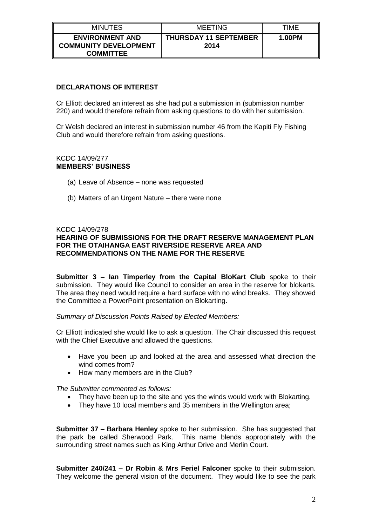| <b>MINUTES</b>                                                             | <b>MEETING</b>                       | TIME   |
|----------------------------------------------------------------------------|--------------------------------------|--------|
| <b>ENVIRONMENT AND</b><br><b>COMMUNITY DEVELOPMENT</b><br><b>COMMITTEE</b> | <b>THURSDAY 11 SEPTEMBER</b><br>2014 | 1.00PM |

# **DECLARATIONS OF INTEREST**

Cr Elliott declared an interest as she had put a submission in (submission number 220) and would therefore refrain from asking questions to do with her submission.

Cr Welsh declared an interest in submission number 46 from the Kapiti Fly Fishing Club and would therefore refrain from asking questions.

#### KCDC 14/09/277 **MEMBERS' BUSINESS**

- (a) Leave of Absence none was requested
- (b) Matters of an Urgent Nature there were none

## KCDC 14/09/278

## **HEARING OF SUBMISSIONS FOR THE DRAFT RESERVE MANAGEMENT PLAN FOR THE OTAIHANGA EAST RIVERSIDE RESERVE AREA AND RECOMMENDATIONS ON THE NAME FOR THE RESERVE**

**Submitter 3 – Ian Timperley from the Capital BloKart Club** spoke to their submission. They would like Council to consider an area in the reserve for blokarts. The area they need would require a hard surface with no wind breaks. They showed the Committee a PowerPoint presentation on Blokarting.

*Summary of Discussion Points Raised by Elected Members:*

Cr Elliott indicated she would like to ask a question. The Chair discussed this request with the Chief Executive and allowed the questions.

- Have you been up and looked at the area and assessed what direction the wind comes from?
- How many members are in the Club?

*The Submitter commented as follows:*

- They have been up to the site and yes the winds would work with Blokarting.
- They have 10 local members and 35 members in the Wellington area;

**Submitter 37 – Barbara Henley** spoke to her submission. She has suggested that the park be called Sherwood Park. This name blends appropriately with the surrounding street names such as King Arthur Drive and Merlin Court.

**Submitter 240/241 – Dr Robin & Mrs Feriel Falconer** spoke to their submission. They welcome the general vision of the document. They would like to see the park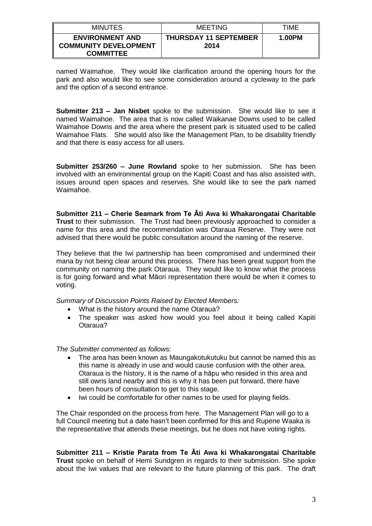| <b>MINUTES</b>                                                             | <b>MEETING</b>                       | TIME   |
|----------------------------------------------------------------------------|--------------------------------------|--------|
| <b>ENVIRONMENT AND</b><br><b>COMMUNITY DEVELOPMENT</b><br><b>COMMITTEE</b> | <b>THURSDAY 11 SEPTEMBER</b><br>2014 | 1.00PM |

named Waimahoe. They would like clarification around the opening hours for the park and also would like to see some consideration around a cycleway to the park and the option of a second entrance.

**Submitter 213 – Jan Nisbet** spoke to the submission. She would like to see it named Waimahoe. The area that is now called Waikanae Downs used to be called Waimahoe Downs and the area where the present park is situated used to be called Waimahoe Flats. She would also like the Management Plan, to be disability friendly and that there is easy access for all users.

**Submitter 253/260 – June Rowland** spoke to her submission. She has been involved with an environmental group on the Kapiti Coast and has also assisted with, issues around open spaces and reserves. She would like to see the park named Waimahoe.

**Submitter 211 – Cherie Seamark from Te Āti Awa ki Whakarongatai Charitable Trust** to their submission. The Trust had been previously approached to consider a name for this area and the recommendation was Otaraua Reserve. They were not advised that there would be public consultation around the naming of the reserve.

They believe that the Iwi partnership has been compromised and undermined their mana by not being clear around this process. There has been great support from the community on naming the park Otaraua. They would like to know what the process is for going forward and what Māori representation there would be when it comes to voting.

*Summary of Discussion Points Raised by Elected Members:*

- What is the history around the name Otaraua?
- The speaker was asked how would you feel about it being called Kapiti Otaraua?

*The Submitter commented as follows:*

- The area has been known as Maungakotukutuku but cannot be named this as this name is already in use and would cause confusion with the other area. Otaraua is the history, it is the name of a hāpu who resided in this area and still owns land nearby and this is why it has been put forward, there have been hours of consultation to get to this stage.
- Iwi could be comfortable for other names to be used for playing fields.

The Chair responded on the process from here. The Management Plan will go to a full Council meeting but a date hasn't been confirmed for this and Rupene Waaka is the representative that attends these meetings, but he does not have voting rights.

**Submitter 211 – Kristie Parata from Te Āti Awa ki Whakarongatai Charitable Trust** spoke on behalf of Hemi Sundgren in regards to their submission. She spoke about the Iwi values that are relevant to the future planning of this park. The draft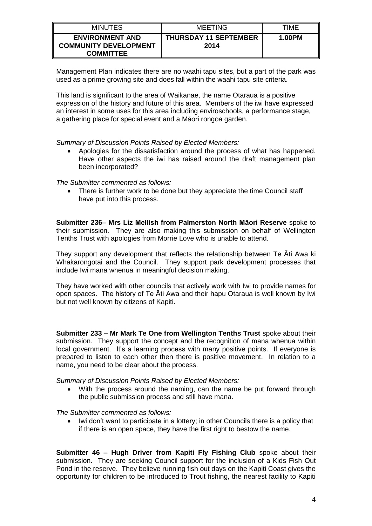| <b>MINUTES</b>                                                             | <b>MEETING</b>                       | TIME   |
|----------------------------------------------------------------------------|--------------------------------------|--------|
| <b>ENVIRONMENT AND</b><br><b>COMMUNITY DEVELOPMENT</b><br><b>COMMITTEE</b> | <b>THURSDAY 11 SEPTEMBER</b><br>2014 | 1.00PM |

Management Plan indicates there are no waahi tapu sites, but a part of the park was used as a prime growing site and does fall within the waahi tapu site criteria.

This land is significant to the area of Waikanae, the name Otaraua is a positive expression of the history and future of this area. Members of the iwi have expressed an interest in some uses for this area including enviroschools, a performance stage, a gathering place for special event and a Māori rongoa garden.

*Summary of Discussion Points Raised by Elected Members:*

 Apologies for the dissatisfaction around the process of what has happened. Have other aspects the iwi has raised around the draft management plan been incorporated?

*The Submitter commented as follows:*

 There is further work to be done but they appreciate the time Council staff have put into this process.

**Submitter 236– Mrs Liz Mellish from Palmerston North Māori Reserve** spoke to their submission. They are also making this submission on behalf of Wellington Tenths Trust with apologies from Morrie Love who is unable to attend.

They support any development that reflects the relationship between Te Āti Awa ki Whakarongotai and the Council. They support park development processes that include Iwi mana whenua in meaningful decision making.

They have worked with other councils that actively work with Iwi to provide names for open spaces. The history of Te Āti Awa and their hapu Otaraua is well known by Iwi but not well known by citizens of Kapiti.

**Submitter 233 – Mr Mark Te One from Wellington Tenths Trust** spoke about their submission. They support the concept and the recognition of mana whenua within local government. It's a learning process with many positive points. If everyone is prepared to listen to each other then there is positive movement. In relation to a name, you need to be clear about the process.

*Summary of Discussion Points Raised by Elected Members:*

 With the process around the naming, can the name be put forward through the public submission process and still have mana.

*The Submitter commented as follows:*

 Iwi don't want to participate in a lottery; in other Councils there is a policy that if there is an open space, they have the first right to bestow the name.

**Submitter 46 – Hugh Driver from Kapiti Fly Fishing Club** spoke about their submission. They are seeking Council support for the inclusion of a Kids Fish Out Pond in the reserve. They believe running fish out days on the Kapiti Coast gives the opportunity for children to be introduced to Trout fishing, the nearest facility to Kapiti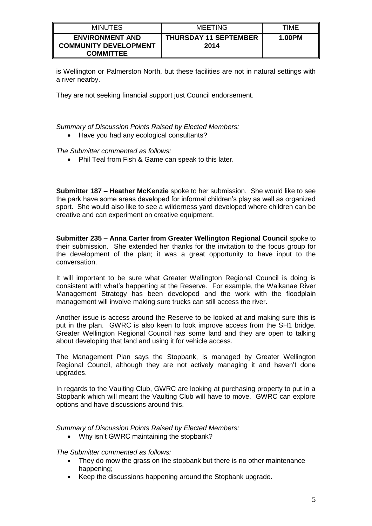| <b>MINUTES</b>                                                             | <b>MEETING</b>                       | TIME   |
|----------------------------------------------------------------------------|--------------------------------------|--------|
| <b>ENVIRONMENT AND</b><br><b>COMMUNITY DEVELOPMENT</b><br><b>COMMITTEE</b> | <b>THURSDAY 11 SEPTEMBER</b><br>2014 | 1.00PM |

is Wellington or Palmerston North, but these facilities are not in natural settings with a river nearby.

They are not seeking financial support just Council endorsement.

*Summary of Discussion Points Raised by Elected Members:*

Have you had any ecological consultants?

*The Submitter commented as follows:*

• Phil Teal from Fish & Game can speak to this later.

**Submitter 187 – Heather McKenzie** spoke to her submission. She would like to see the park have some areas developed for informal children's play as well as organized sport. She would also like to see a wilderness yard developed where children can be creative and can experiment on creative equipment.

**Submitter 235 – Anna Carter from Greater Wellington Regional Council** spoke to their submission. She extended her thanks for the invitation to the focus group for the development of the plan; it was a great opportunity to have input to the conversation.

It will important to be sure what Greater Wellington Regional Council is doing is consistent with what's happening at the Reserve. For example, the Waikanae River Management Strategy has been developed and the work with the floodplain management will involve making sure trucks can still access the river.

Another issue is access around the Reserve to be looked at and making sure this is put in the plan. GWRC is also keen to look improve access from the SH1 bridge. Greater Wellington Regional Council has some land and they are open to talking about developing that land and using it for vehicle access.

The Management Plan says the Stopbank, is managed by Greater Wellington Regional Council, although they are not actively managing it and haven't done upgrades.

In regards to the Vaulting Club, GWRC are looking at purchasing property to put in a Stopbank which will meant the Vaulting Club will have to move. GWRC can explore options and have discussions around this.

*Summary of Discussion Points Raised by Elected Members:*

• Why isn't GWRC maintaining the stopbank?

*The Submitter commented as follows:*

- They do mow the grass on the stopbank but there is no other maintenance happening;
- Keep the discussions happening around the Stopbank upgrade.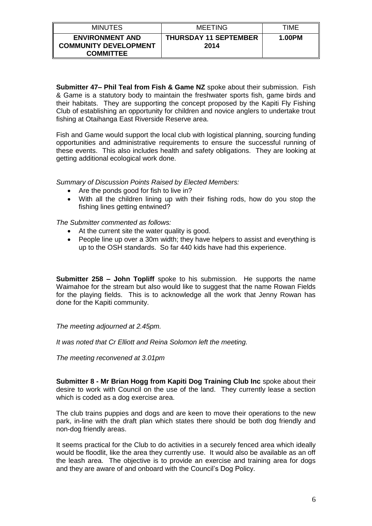| <b>MINUTES</b>                                                             | <b>MEETING</b>                       | TIME   |
|----------------------------------------------------------------------------|--------------------------------------|--------|
| <b>ENVIRONMENT AND</b><br><b>COMMUNITY DEVELOPMENT</b><br><b>COMMITTEE</b> | <b>THURSDAY 11 SEPTEMBER</b><br>2014 | 1.00PM |

**Submitter 47– Phil Teal from Fish & Game NZ** spoke about their submission. Fish & Game is a statutory body to maintain the freshwater sports fish, game birds and their habitats. They are supporting the concept proposed by the Kapiti Fly Fishing Club of establishing an opportunity for children and novice anglers to undertake trout fishing at Otaihanga East Riverside Reserve area.

Fish and Game would support the local club with logistical planning, sourcing funding opportunities and administrative requirements to ensure the successful running of these events. This also includes health and safety obligations. They are looking at getting additional ecological work done.

*Summary of Discussion Points Raised by Elected Members:*

- Are the ponds good for fish to live in?
- With all the children lining up with their fishing rods, how do you stop the fishing lines getting entwined?

*The Submitter commented as follows:*

- At the current site the water quality is good.
- People line up over a 30m width; they have helpers to assist and everything is up to the OSH standards. So far 440 kids have had this experience.

**Submitter 258 – John Topliff** spoke to his submission. He supports the name Waimahoe for the stream but also would like to suggest that the name Rowan Fields for the playing fields. This is to acknowledge all the work that Jenny Rowan has done for the Kapiti community.

*The meeting adjourned at 2.45pm.*

*It was noted that Cr Elliott and Reina Solomon left the meeting.*

*The meeting reconvened at 3.01pm*

**Submitter 8 - Mr Brian Hogg from Kapiti Dog Training Club Inc** spoke about their desire to work with Council on the use of the land. They currently lease a section which is coded as a dog exercise area.

The club trains puppies and dogs and are keen to move their operations to the new park, in-line with the draft plan which states there should be both dog friendly and non-dog friendly areas.

It seems practical for the Club to do activities in a securely fenced area which ideally would be floodlit, like the area they currently use. It would also be available as an off the leash area. The objective is to provide an exercise and training area for dogs and they are aware of and onboard with the Council's Dog Policy.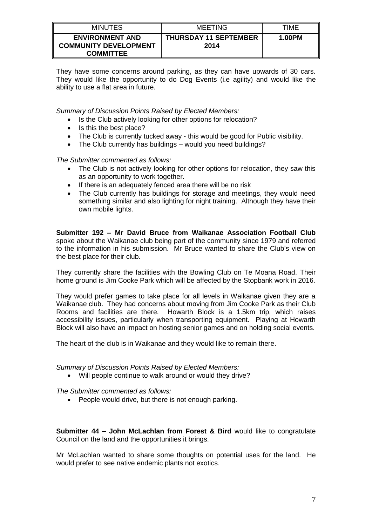| <b>MINUTES</b>                                                             | MEETING                              | TIME   |
|----------------------------------------------------------------------------|--------------------------------------|--------|
| <b>ENVIRONMENT AND</b><br><b>COMMUNITY DEVELOPMENT</b><br><b>COMMITTEE</b> | <b>THURSDAY 11 SEPTEMBER</b><br>2014 | 1.00PM |

They have some concerns around parking, as they can have upwards of 30 cars. They would like the opportunity to do Dog Events (i.e agility) and would like the ability to use a flat area in future.

*Summary of Discussion Points Raised by Elected Members:*

- Is the Club actively looking for other options for relocation?
- $\bullet$  Is this the best place?
- The Club is currently tucked away this would be good for Public visibility.
- The Club currently has buildings would you need buildings?

*The Submitter commented as follows:*

- The Club is not actively looking for other options for relocation, they saw this as an opportunity to work together.
- If there is an adequately fenced area there will be no risk
- The Club currently has buildings for storage and meetings, they would need something similar and also lighting for night training. Although they have their own mobile lights.

**Submitter 192 – Mr David Bruce from Waikanae Association Football Club**  spoke about the Waikanae club being part of the community since 1979 and referred to the information in his submission. Mr Bruce wanted to share the Club's view on the best place for their club.

They currently share the facilities with the Bowling Club on Te Moana Road. Their home ground is Jim Cooke Park which will be affected by the Stopbank work in 2016.

They would prefer games to take place for all levels in Waikanae given they are a Waikanae club. They had concerns about moving from Jim Cooke Park as their Club Rooms and facilities are there. Howarth Block is a 1.5km trip, which raises accessibility issues, particularly when transporting equipment. Playing at Howarth Block will also have an impact on hosting senior games and on holding social events.

The heart of the club is in Waikanae and they would like to remain there.

*Summary of Discussion Points Raised by Elected Members:*

Will people continue to walk around or would they drive?

*The Submitter commented as follows:*

• People would drive, but there is not enough parking.

**Submitter 44 – John McLachlan from Forest & Bird** would like to congratulate Council on the land and the opportunities it brings.

Mr McLachlan wanted to share some thoughts on potential uses for the land. He would prefer to see native endemic plants not exotics.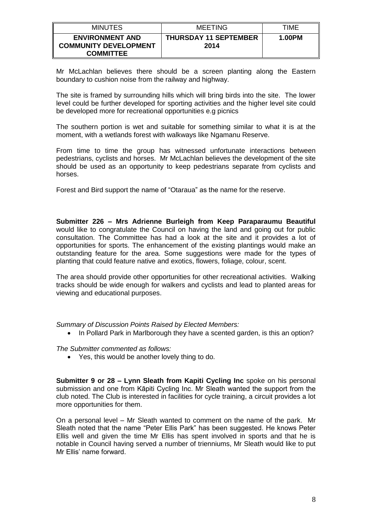| <b>MINUTES</b>                                                             | <b>MEETING</b>                       | TIME   |
|----------------------------------------------------------------------------|--------------------------------------|--------|
| <b>ENVIRONMENT AND</b><br><b>COMMUNITY DEVELOPMENT</b><br><b>COMMITTEE</b> | <b>THURSDAY 11 SEPTEMBER</b><br>2014 | 1.00PM |

Mr McLachlan believes there should be a screen planting along the Eastern boundary to cushion noise from the railway and highway.

The site is framed by surrounding hills which will bring birds into the site. The lower level could be further developed for sporting activities and the higher level site could be developed more for recreational opportunities e.g picnics

The southern portion is wet and suitable for something similar to what it is at the moment, with a wetlands forest with walkways like Ngamanu Reserve.

From time to time the group has witnessed unfortunate interactions between pedestrians, cyclists and horses. Mr McLachlan believes the development of the site should be used as an opportunity to keep pedestrians separate from cyclists and horses.

Forest and Bird support the name of "Otaraua" as the name for the reserve.

**Submitter 226 – Mrs Adrienne Burleigh from Keep Paraparaumu Beautiful**  would like to congratulate the Council on having the land and going out for public consultation. The Committee has had a look at the site and it provides a lot of opportunities for sports. The enhancement of the existing plantings would make an outstanding feature for the area. Some suggestions were made for the types of planting that could feature native and exotics, flowers, foliage, colour, scent.

The area should provide other opportunities for other recreational activities. Walking tracks should be wide enough for walkers and cyclists and lead to planted areas for viewing and educational purposes.

*Summary of Discussion Points Raised by Elected Members:*

• In Pollard Park in Marlborough they have a scented garden, is this an option?

*The Submitter commented as follows:*

Yes, this would be another lovely thing to do.

**Submitter 9 or 28 – Lynn Sleath from Kapiti Cycling Inc** spoke on his personal submission and one from Kāpiti Cycling Inc. Mr Sleath wanted the support from the club noted. The Club is interested in facilities for cycle training, a circuit provides a lot more opportunities for them.

On a personal level – Mr Sleath wanted to comment on the name of the park. Mr Sleath noted that the name "Peter Ellis Park" has been suggested. He knows Peter Ellis well and given the time Mr Ellis has spent involved in sports and that he is notable in Council having served a number of trienniums, Mr Sleath would like to put Mr Ellis' name forward.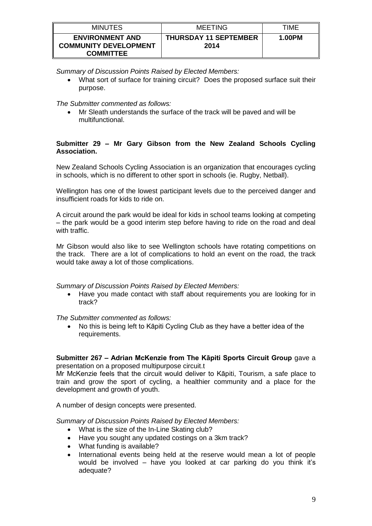| <b>MINUTES</b>                                                             | MEETING                              | TIME   |
|----------------------------------------------------------------------------|--------------------------------------|--------|
| <b>ENVIRONMENT AND</b><br><b>COMMUNITY DEVELOPMENT</b><br><b>COMMITTEE</b> | <b>THURSDAY 11 SEPTEMBER</b><br>2014 | 1.00PM |

*Summary of Discussion Points Raised by Elected Members:*

 What sort of surface for training circuit? Does the proposed surface suit their purpose.

*The Submitter commented as follows:*

 Mr Sleath understands the surface of the track will be paved and will be multifunctional.

### **Submitter 29 – Mr Gary Gibson from the New Zealand Schools Cycling Association.**

New Zealand Schools Cycling Association is an organization that encourages cycling in schools, which is no different to other sport in schools (ie. Rugby, Netball).

Wellington has one of the lowest participant levels due to the perceived danger and insufficient roads for kids to ride on.

A circuit around the park would be ideal for kids in school teams looking at competing – the park would be a good interim step before having to ride on the road and deal with traffic.

Mr Gibson would also like to see Wellington schools have rotating competitions on the track. There are a lot of complications to hold an event on the road, the track would take away a lot of those complications.

## *Summary of Discussion Points Raised by Elected Members:*

 Have you made contact with staff about requirements you are looking for in track?

*The Submitter commented as follows:*

 No this is being left to Kāpiti Cycling Club as they have a better idea of the requirements.

## **Submitter 267 – Adrian McKenzie from The Kāpiti Sports Circuit Group** gave a presentation on a proposed multipurpose circuit.t

Mr McKenzie feels that the circuit would deliver to Kāpiti, Tourism, a safe place to train and grow the sport of cycling, a healthier community and a place for the development and growth of youth.

A number of design concepts were presented.

*Summary of Discussion Points Raised by Elected Members:*

- What is the size of the In-Line Skating club?
- Have you sought any updated costings on a 3km track?
- What funding is available?
- International events being held at the reserve would mean a lot of people would be involved – have you looked at car parking do you think it's adequate?